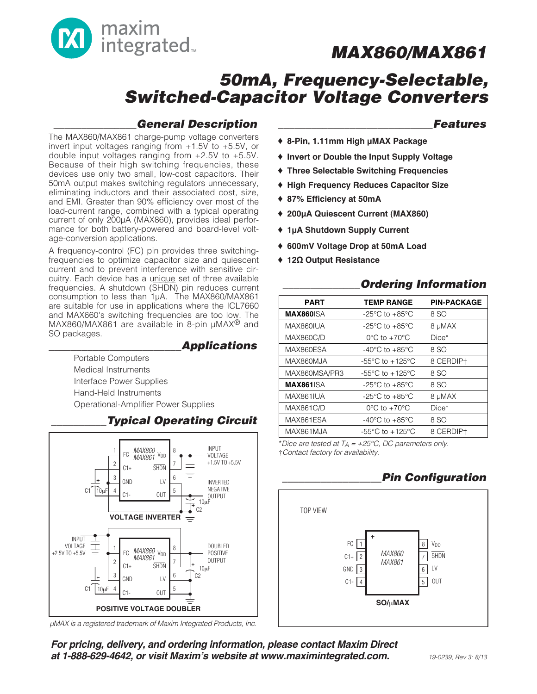

## **50mA, Frequency-Selectable, Switched-Capacitor Voltage Converters**

### **\_\_\_\_\_\_\_\_\_\_\_\_\_\_\_General Description**

The MAX860/MAX861 charge-pump voltage converters invert input voltages ranging from +1.5V to +5.5V, or double input voltages ranging from +2.5V to +5.5V. Because of their high switching frequencies, these devices use only two small, low-cost capacitors. Their 50mA output makes switching regulators unnecessary, eliminating inductors and their associated cost, size, and EMI. Greater than 90% efficiency over most of the load-current range, combined with a typical operating current of only 200µA (MAX860), provides ideal performance for both battery-powered and board-level voltage-conversion applications.

A frequency-control (FC) pin provides three switchingfrequencies to optimize capacitor size and quiescent current and to prevent interference with sensitive circuitry. Each device has a unique set of three available cultive. Lactif device thas a difigue set of three available<br>frequencies. A shutdown (SHDN) pin reduces current consumption to less than 1µA. The MAX860/MAX861 are suitable for use in applications where the ICL7660 and MAX660's switching frequencies are too low. The MAX860/MAX861 are available in 8-pin µMAX® and SO packages.

### **\_\_\_\_\_\_\_\_\_\_\_\_\_\_\_\_\_\_\_\_\_\_\_\_Applications**

Portable Computers Medical Instruments Interface Power Supplies Hand-Held Instruments Operational-Amplifier Power Supplies



µMAX is a registered trademark of Maxim Integrated Products, Inc.

### **\_\_\_\_\_\_\_\_\_\_\_\_\_\_\_\_\_\_\_\_\_\_\_\_\_\_\_\_Features**

- ♦ **8-Pin, 1.11mm High µMAX Package**
- ♦ **Invert or Double the Input Supply Voltage**
- ♦ **Three Selectable Switching Frequencies**
- ♦ **High Frequency Reduces Capacitor Size**
- ♦ **87% Efficiency at 50mA**
- ♦ **200µA Quiescent Current (MAX860)**
- ♦ **1µA Shutdown Supply Current**
- ♦ **600mV Voltage Drop at 50mA Load**
- ♦ **12Ω Output Resistance**

### **\_\_\_\_\_\_\_\_\_\_\_\_\_\_Ordering Information**

| <b>PART</b>       | <b>TEMP RANGE</b>                     | <b>PIN-PACKAGE</b> |
|-------------------|---------------------------------------|--------------------|
| <b>MAX860</b> ISA | $-25^{\circ}$ C to $+85^{\circ}$ C    | 8 SO               |
| MAX860IUA         | $-25^{\circ}$ C to $+85^{\circ}$ C    | 8 µMAX             |
| <b>MAX860C/D</b>  | $0^{\circ}$ C to +70 $^{\circ}$ C     | $Dice*$            |
| MAX860ESA         | -40°C to +85°C                        | 8 SO               |
| MAX860MJA         | -55 $^{\circ}$ C to +125 $^{\circ}$ C | 8 CERDIP+          |
| MAX860MSA/PR3     | -55°C to $+125$ °C                    | 8 SO               |
| <b>MAX861ISA</b>  | $-25^{\circ}$ C to $+85^{\circ}$ C    | 8 SO               |
| MAX861IUA         | $-25^{\circ}$ C to $+85^{\circ}$ C    | 8 µMAX             |
| <b>MAX861C/D</b>  | $0^{\circ}$ C to +70 $^{\circ}$ C     | $Dice*$            |
| MAX861ESA         | $-40^{\circ}$ C to $+85^{\circ}$ C    | 8 SO               |
| MAX861MJA         | -55°C to +125°C                       | 8 CERDIPT          |

\*Dice are tested at  $T_A = +25^{\circ}C$ , DC parameters only. †Contact factory for availability.

### **\_\_\_\_\_\_\_\_\_\_\_\_\_\_\_\_\_\_Pin Configuration**



**For pricing, delivery, and ordering information, please contact Maxim Direct at 1-888-629-4642, or visit Maxim's website at www.maximintegrated.com.**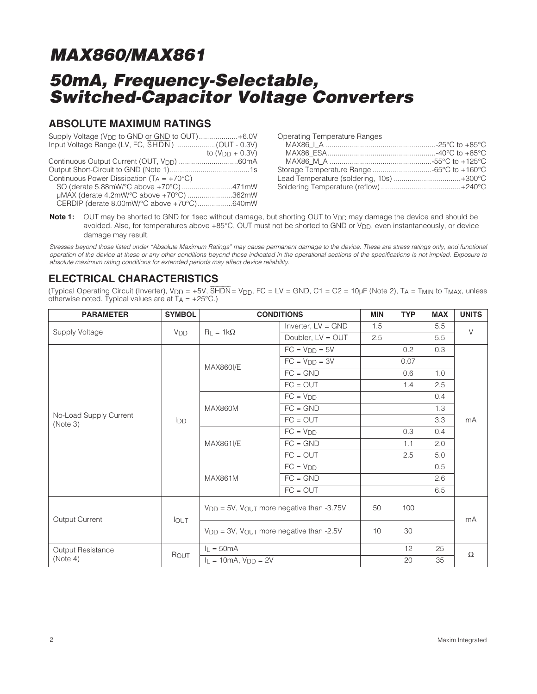## **50mA, Frequency-Selectable, Switched-Capacitor Voltage Converters**

### **ABSOLUTE MAXIMUM RATINGS**

|                                                     | to $(VDD + 0.3V)$ |
|-----------------------------------------------------|-------------------|
|                                                     |                   |
|                                                     |                   |
| Continuous Power Dissipation $(T_A = +70^{\circ}C)$ |                   |
| SO (derate 5.88mW/°C above +70°C)471mW              |                   |
| uMAX (derate 4.2mW/°C above +70°C) 362mW            |                   |
| CERDIP (derate 8.00mW/°C above +70°C)640mW          |                   |

Operating Temperature Ranges

| Lead Temperature (soldering, 10s)+300°C |  |
|-----------------------------------------|--|
|                                         |  |
|                                         |  |

**Note 1:** OUT may be shorted to GND for 1sec without damage, but shorting OUT to V<sub>DD</sub> may damage the device and should be avoided. Also, for temperatures above +85°C, OUT must not be shorted to GND or V<sub>DD</sub>, even instantaneously, or device damage may result.

Stresses beyond those listed under "Absolute Maximum Ratings" may cause permanent damage to the device. These are stress ratings only, and functional operation of the device at these or any other conditions beyond those indicated in the operational sections of the specifications is not implied. Exposure to absolute maximum rating conditions for extended periods may affect device reliability.

### **ELECTRICAL CHARACTERISTICS**

(Typical Operating Circuit (Inverter), V<sub>DD</sub> = +5V, SHDN= V<sub>DD</sub>, FC = LV = GND, C1 = C2 = 10µF (Note 2), TA = T<sub>MIN</sub> to T<sub>MAX</sub>, unless otherwise noted. Typical values are at  $TA = +25^{\circ}C$ .)

| <b>PARAMETER</b>                   | <b>SYMBOL</b>         | <b>CONDITIONS</b>                                   |                      | <b>MIN</b> | <b>TYP</b> | <b>MAX</b> | <b>UNITS</b> |
|------------------------------------|-----------------------|-----------------------------------------------------|----------------------|------------|------------|------------|--------------|
| <b>Supply Voltage</b>              | <b>V<sub>DD</sub></b> | $R_L = 1k\Omega$                                    | Inverter, $LV = GND$ | 1.5        |            | 5.5        | $\vee$       |
|                                    |                       |                                                     | Doubler, LV = OUT    | 2.5        |            | 5.5        |              |
|                                    |                       |                                                     | $FC = V_{DD} = 5V$   |            | 0.2        | 0.3        |              |
|                                    |                       | <b>MAX860I/E</b>                                    | $FC = VDD = 3V$      |            | 0.07       |            |              |
|                                    |                       |                                                     | $FC = GND$           |            | 0.6        | 1.0        |              |
|                                    |                       |                                                     | $FC = OUT$           |            | 1.4        | 2.5        |              |
|                                    |                       |                                                     | $FC = VDD$           |            |            | 0.4        |              |
|                                    |                       | MAX860M                                             | $FC = GND$           |            |            | 1.3        | mA           |
| No-Load Supply Current<br>(Note 3) | IDD                   |                                                     | $FC = OUT$           |            |            | 3.3        |              |
|                                    |                       | MAX861I/E                                           | $FC = VDD$           |            | 0.3        | 0.4        |              |
|                                    |                       |                                                     | $FC = GND$           |            | 1.1        | 2.0        |              |
|                                    |                       |                                                     | $FC = OUT$           |            | 2.5        | 5.0        |              |
|                                    |                       | <b>MAX861M</b>                                      | $FC = VDD$           |            |            | 0.5        |              |
|                                    |                       |                                                     | $FC = GND$           |            |            | 2.6        |              |
|                                    |                       |                                                     | $FC = OUT$           |            |            | 6.5        |              |
| Output Current                     | <b>IOUT</b>           | $V_{DD} = 5V$ , $V_{OUT}$ more negative than -3.75V |                      | 50         | 100        |            | mA           |
|                                    |                       | $VDD = 3V$ , $VOUT$ more negative than -2.5V        |                      | 10         | 30         |            |              |
| <b>Output Resistance</b>           |                       | $I_L = 50mA$                                        |                      |            | 12         | 25         | $\Omega$     |
| (Note 4)                           | ROUT                  | $I_L = 10mA$ , $V_{DD} = 2V$                        |                      |            | 20         | 35         |              |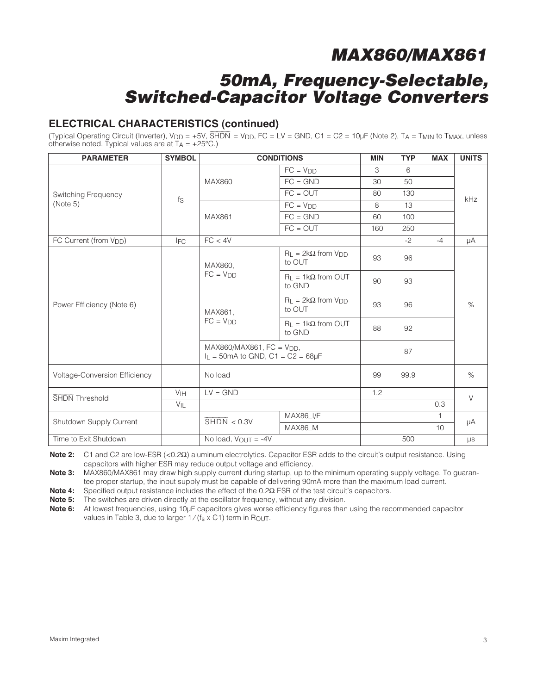## **50mA, Frequency-Selectable, Switched-Capacitor Voltage Converters**

### **ELECTRICAL CHARACTERISTICS (continued)**

(Typical Operating Circuit (Inverter),  $V_{DD} = +5V$ ,  $\overline{SHDN} = V_{DD}$ , FC = LV = GND, C1 = C2 = 10µF (Note 2), TA = TMIN to TMAX, unless otherwise noted. Typical values are at  $TA = +25^{\circ}C$ .)

| <b>PARAMETER</b>                     | <b>SYMBOL</b>                                                                       |                                 | <b>CONDITIONS</b>                        | <b>MIN</b> | <b>TYP</b> | <b>MAX</b> | <b>UNITS</b> |
|--------------------------------------|-------------------------------------------------------------------------------------|---------------------------------|------------------------------------------|------------|------------|------------|--------------|
|                                      |                                                                                     |                                 | $FC = VDD$                               | 3          | 6          |            |              |
|                                      |                                                                                     | <b>MAX860</b>                   | $FC = GND$                               | 30         | 50         |            |              |
| Switching Frequency                  | $f_S$                                                                               |                                 | $FC = OUT$                               | 80         | 130        |            | kHz          |
| (Note 5)                             |                                                                                     |                                 | $FC = VDD$                               | 8          | 13         |            |              |
|                                      |                                                                                     | MAX861                          | $FC = GND$                               | 60         | 100        |            |              |
|                                      |                                                                                     |                                 | $FC = OUT$                               | 160        | 250        |            |              |
| FC Current (from V <sub>DD</sub> )   | <b>IFC</b>                                                                          | FC < 4V                         |                                          |            | $-2$       | $-4$       | μA           |
| Power Efficiency (Note 6)            |                                                                                     | MAX860,<br>$FC = VDD$           | $R_1 = 2k\Omega$ from $VDD$<br>to OUT    | 93         | 96         |            | $\%$         |
|                                      |                                                                                     |                                 | $R_L = 1k\Omega$ from OUT<br>to GND      | 90         | 93         |            |              |
|                                      |                                                                                     | MAX861,<br>$FC = VDD$           | $R_L = 2k\Omega$ from $V_{DD}$<br>to OUT | 93         | 96         |            |              |
|                                      |                                                                                     |                                 | $R_L = 1k\Omega$ from OUT<br>to GND      | 88         | 92         |            |              |
|                                      | $MAX860/MAX861$ , $FC = VDD$ ,<br>$I_L = 50 \text{mA}$ to GND, $C1 = C2 = 68 \mu F$ |                                 |                                          | 87         |            |            |              |
| <b>Voltage-Conversion Efficiency</b> |                                                                                     | No load                         |                                          | 99         | 99.9       |            | $\%$         |
| <b>SHDN</b> Threshold                | V <sub>IH</sub>                                                                     | $LV = GND$                      |                                          | 1.2        |            |            | $\vee$       |
|                                      | $V_{\mathsf{IL}}$                                                                   |                                 |                                          |            |            | 0.3        |              |
| Shutdown Supply Current              |                                                                                     | $\overline{\text{SHDN}}$ < 0.3V | MAX86_I/E                                |            |            | 1.         | μA           |
|                                      |                                                                                     |                                 | MAX86_M                                  |            |            | 10         |              |
| Time to Exit Shutdown                |                                                                                     | No load, $V_{OUT} = -4V$        |                                          |            | 500        |            | $\mu s$      |

**Note 2:** C1 and C2 are low-ESR (<0.2Ω) aluminum electrolytics. Capacitor ESR adds to the circuit's output resistance. Using capacitors with higher ESR may reduce output voltage and efficiency.

**Note 3:** MAX860/MAX861 may draw high supply current during startup, up to the minimum operating supply voltage. To guarantee proper startup, the input supply must be capable of delivering 90mA more than the maximum load current.

**Note 4:** Specified output resistance includes the effect of the 0.2Ω ESR of the test circuit's capacitors.

**Note 5:** The switches are driven directly at the oscillator frequency, without any division.

**Note 6:** At lowest frequencies, using 10µF capacitors gives worse efficiency figures than using the recommended capacitor values in Table 3, due to larger  $1/(f_s \times C1)$  term in ROUT.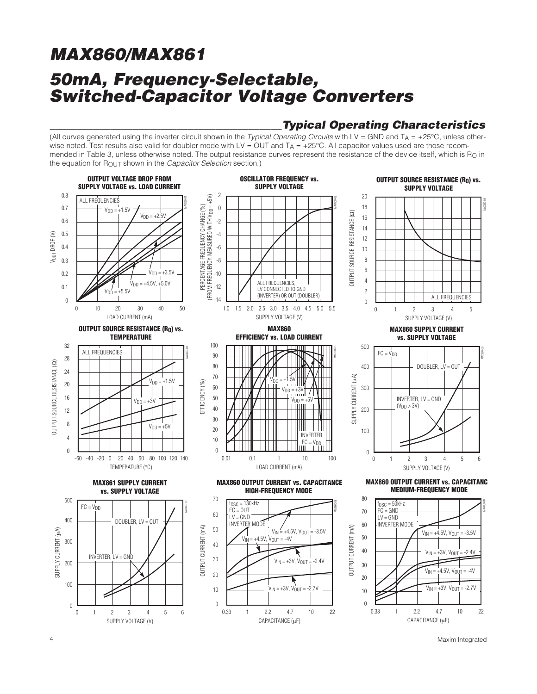## **MAX860/MAX861 50mA, Frequency-Selectable, Switched-Capacitor Voltage Converters**

### **\_\_\_\_\_\_\_\_\_\_\_\_\_\_\_\_\_\_\_\_\_\_\_\_\_\_\_\_\_\_\_\_\_\_\_\_\_\_\_\_\_\_Typical Operating Characteristics**

(All curves generated using the inverter circuit shown in the *Typical Operating Circuits* with LV = GND and  $Ta = +25^{\circ}C$ , unless otherwise noted. Test results also valid for doubler mode with LV = OUT and  $T_A = +25^{\circ}$ C. All capacitor values used are those recommended in Table 3, unless otherwise noted. The output resistance curves represent the resistance of the device itself, which is R<sub>O</sub> in the equation for R<sub>OUT</sub> shown in the *Capacitor Selection* section.)



4 Maxim Integrated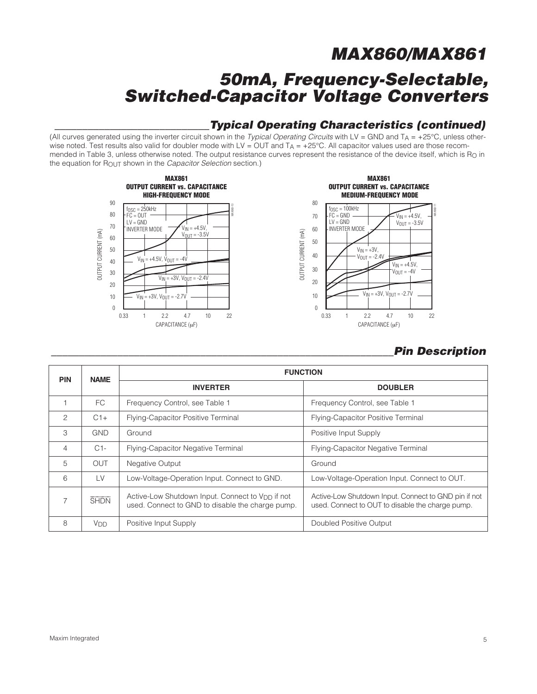## **50mA, Frequency-Selectable, Switched-Capacitor Voltage Converters**

### **\_\_\_\_\_\_\_\_\_\_\_\_\_\_\_\_\_\_\_\_\_\_\_\_\_\_\_\_Typical Operating Characteristics (continued)**

(All curves generated using the inverter circuit shown in the Typical Operating Circuits with LV = GND and  $T_A = +25^{\circ}$ C, unless otherwise noted. Test results also valid for doubler mode with LV =  $OUT$  and  $T_A$  = +25°C. All capacitor values used are those recommended in Table 3, unless otherwise noted. The output resistance curves represent the resistance of the device itself, which is  $R<sub>O</sub>$  in the equation for ROUT shown in the Capacitor Selection section.)



### **\_\_\_\_\_\_\_\_\_\_\_\_\_\_\_\_\_\_\_\_\_\_\_\_\_\_\_\_\_\_\_\_\_\_\_\_\_\_\_\_\_\_\_\_\_\_\_\_\_\_\_\_\_\_\_\_\_\_\_\_\_\_Pin Description**

| <b>PIN</b>    | <b>NAME</b>           | <b>FUNCTION</b>                                                                                                  |                                                                                                          |  |  |
|---------------|-----------------------|------------------------------------------------------------------------------------------------------------------|----------------------------------------------------------------------------------------------------------|--|--|
|               |                       | <b>INVERTER</b>                                                                                                  | <b>DOUBLER</b>                                                                                           |  |  |
|               | FC.                   | Frequency Control, see Table 1                                                                                   | Frequency Control, see Table 1                                                                           |  |  |
| $\mathcal{P}$ | $C1+$                 | Flying-Capacitor Positive Terminal                                                                               | Flying-Capacitor Positive Terminal                                                                       |  |  |
| 3             | <b>GND</b>            | Ground                                                                                                           | Positive Input Supply                                                                                    |  |  |
| 4             | $C1-$                 | Flying-Capacitor Negative Terminal                                                                               | Flying-Capacitor Negative Terminal                                                                       |  |  |
| 5             | <b>OUT</b>            | <b>Negative Output</b>                                                                                           | Ground                                                                                                   |  |  |
| 6             | LV                    | Low-Voltage-Operation Input. Connect to GND.                                                                     | Low-Voltage-Operation Input. Connect to OUT.                                                             |  |  |
|               | <b>SHDN</b>           | Active-Low Shutdown Input. Connect to V <sub>DD</sub> if not<br>used. Connect to GND to disable the charge pump. | Active-Low Shutdown Input. Connect to GND pin if not<br>used. Connect to OUT to disable the charge pump. |  |  |
| 8             | <b>V<sub>DD</sub></b> | Positive Input Supply                                                                                            | Doubled Positive Output                                                                                  |  |  |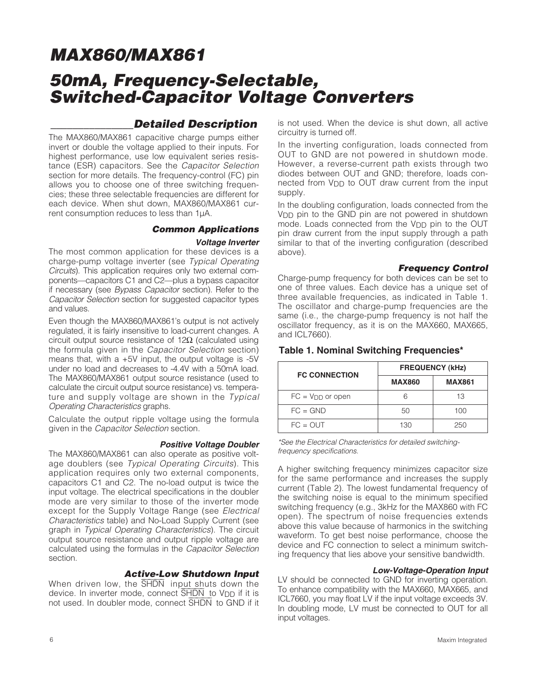## **50mA, Frequency-Selectable, Switched-Capacitor Voltage Converters**

### **\_\_\_\_\_\_\_\_\_\_\_\_\_\_\_Detailed Description**

The MAX860/MAX861 capacitive charge pumps either invert or double the voltage applied to their inputs. For highest performance, use low equivalent series resistance (ESR) capacitors. See the Capacitor Selection section for more details. The frequency-control (FC) pin allows you to choose one of three switching frequencies; these three selectable frequencies are different for each device. When shut down, MAX860/MAX861 current consumption reduces to less than 1µA.

#### **Common Applications Voltage Inverter**

The most common application for these devices is a charge-pump voltage inverter (see Typical Operating Circuits). This application requires only two external components—capacitors C1 and C2—plus a bypass capacitor if necessary (see Bypass Capacitor section). Refer to the Capacitor Selection section for suggested capacitor types and values.

Even though the MAX860/MAX861's output is not actively regulated, it is fairly insensitive to load-current changes. A circuit output source resistance of  $12\Omega$  (calculated using the formula given in the Capacitor Selection section) means that, with a +5V input, the output voltage is -5V under no load and decreases to -4.4V with a 50mA load. The MAX860/MAX861 output source resistance (used to calculate the circuit output source resistance) vs. temperature and supply voltage are shown in the Typical Operating Characteristics graphs.

Calculate the output ripple voltage using the formula given in the Capacitor Selection section.

#### **Positive Voltage Doubler**

The MAX860/MAX861 can also operate as positive voltage doublers (see Typical Operating Circuits). This application requires only two external components, capacitors C1 and C2. The no-load output is twice the input voltage. The electrical specifications in the doubler mode are very similar to those of the inverter mode except for the Supply Voltage Range (see Electrical Characteristics table) and No-Load Supply Current (see graph in Typical Operating Characteristics). The circuit output source resistance and output ripple voltage are calculated using the formulas in the Capacitor Selection section.

#### **Active-Low Shutdown Input**

When driven low, the SHDN input shuts down the device. In inverter mode, connect SHDN to VDD if it is not used. In doubler mode, connect SHDN to GND if it

is not used. When the device is shut down, all active circuitry is turned off.

In the inverting configuration, loads connected from OUT to GND are not powered in shutdown mode. However, a reverse-current path exists through two diodes between OUT and GND; therefore, loads connected from V<sub>DD</sub> to OUT draw current from the input supply.

In the doubling configuration, loads connected from the VDD pin to the GND pin are not powered in shutdown mode. Loads connected from the V<sub>DD</sub> pin to the OUT pin draw current from the input supply through a path similar to that of the inverting configuration (described above).

#### **Frequency Control**

Charge-pump frequency for both devices can be set to one of three values. Each device has a unique set of three available frequencies, as indicated in Table 1. The oscillator and charge-pump frequencies are the same (i.e., the charge-pump frequency is not half the oscillator frequency, as it is on the MAX660, MAX665, and ICL7660).

| <b>FC CONNECTION</b>  | <b>FREQUENCY (kHz)</b> |               |  |
|-----------------------|------------------------|---------------|--|
|                       | <b>MAX860</b>          | <b>MAX861</b> |  |
| $FC = V_{DD}$ or open |                        | 13            |  |
| $FC = GND$            | 50                     | 100           |  |
| $FC = OUT$            | 130                    | 250           |  |

#### **Table 1. Nominal Switching Frequencies\***

\*See the Electrical Characteristics for detailed switchingfrequency specifications.

A higher switching frequency minimizes capacitor size for the same performance and increases the supply current (Table 2). The lowest fundamental frequency of the switching noise is equal to the minimum specified switching frequency (e.g., 3kHz for the MAX860 with FC open). The spectrum of noise frequencies extends above this value because of harmonics in the switching waveform. To get best noise performance, choose the device and FC connection to select a minimum switching frequency that lies above your sensitive bandwidth.

#### **Low-Voltage-Operation Input**

LV should be connected to GND for inverting operation. To enhance compatibility with the MAX660, MAX665, and ICL7660, you may float LV if the input voltage exceeds 3V. In doubling mode, LV must be connected to OUT for all input voltages.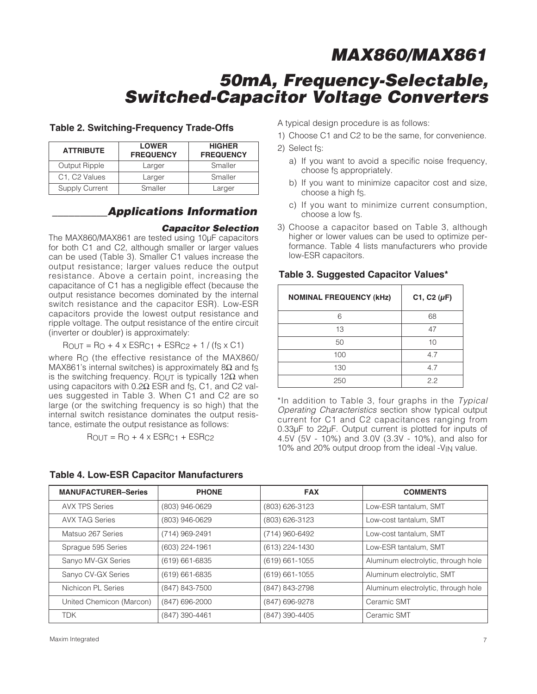## **50mA, Frequency-Selectable, Switched-Capacitor Voltage Converters**

| <b>ATTRIBUTE</b>                       | <b>LOWER</b><br><b>FREQUENCY</b> | <b>HIGHER</b><br><b>FREQUENCY</b> |
|----------------------------------------|----------------------------------|-----------------------------------|
| Output Ripple                          | Larger                           | Smaller                           |
| C <sub>1</sub> , C <sub>2</sub> Values | Larger                           | Smaller                           |
| <b>Supply Current</b>                  | Smaller                          | Larger                            |

#### **Table 2. Switching-Frequency Trade-Offs**

### **\_\_\_\_\_\_\_\_\_\_Applications Information**

#### **Capacitor Selection**

The MAX860/MAX861 are tested using 10µF capacitors for both C1 and C2, although smaller or larger values can be used (Table 3). Smaller C1 values increase the output resistance; larger values reduce the output resistance. Above a certain point, increasing the capacitance of C1 has a negligible effect (because the output resistance becomes dominated by the internal switch resistance and the capacitor ESR). Low-ESR capacitors provide the lowest output resistance and ripple voltage. The output resistance of the entire circuit (inverter or doubler) is approximately:

 $ROUT = RO + 4 \times ESRC1 + ESRC2 + 1 / (fs \times C1)$ 

where R<sub>O</sub> (the effective resistance of the MAX860/ MAX861's internal switches) is approximately 8 $\Omega$  and fs is the switching frequency. ROUT is typically 12Ω when using capacitors with  $0.2Ω$  ESR and fs, C1, and C2 values suggested in Table 3. When C1 and C2 are so large (or the switching frequency is so high) that the internal switch resistance dominates the output resistance, estimate the output resistance as follows:

 $ROUT = RO + 4 \times ESRC1 + ESRC2$ 

#### **Table 4. Low-ESR Capacitor Manufacturers**

A typical design procedure is as follows:

- 1) Choose C1 and C2 to be the same, for convenience.
- 2) Select fs:
	- a) If you want to avoid a specific noise frequency, choose fs appropriately.
	- b) If you want to minimize capacitor cost and size, choose a high fS.
	- c) If you want to minimize current consumption, choose a low fS.
- 3) Choose a capacitor based on Table 3, although higher or lower values can be used to optimize performance. Table 4 lists manufacturers who provide low-ESR capacitors.

| <b>NOMINAL FREQUENCY (kHz)</b> | C1, C2 $(\mu F)$ |
|--------------------------------|------------------|
| 6                              | 68               |
| 13                             | 47               |
| 50                             | 10               |
| 100                            | 4.7              |
| 130                            | 4.7              |
| 250                            | 2.2              |

**Table 3. Suggested Capacitor Values\***

\*In addition to Table 3, four graphs in the Typical Operating Characteristics section show typical output current for C1 and C2 capacitances ranging from 0.33µF to 22µF. Output current is plotted for inputs of 4.5V (5V - 10%) and 3.0V (3.3V - 10%), and also for 10% and 20% output droop from the ideal -VIN value.

| <b>MANUFACTURER-Series</b> | <b>PHONE</b>       | <b>FAX</b>         | <b>COMMENTS</b>                     |
|----------------------------|--------------------|--------------------|-------------------------------------|
| <b>AVX TPS Series</b>      | (803) 946-0629     | (803) 626-3123     | Low-ESR tantalum, SMT               |
| <b>AVX TAG Series</b>      | (803) 946-0629     | (803) 626-3123     | Low-cost tantalum, SMT              |
| Matsuo 267 Series          | (714) 969-2491     | (714) 960-6492     | Low-cost tantalum, SMT              |
| Sprague 595 Series         | (603) 224-1961     | (613) 224-1430     | Low-ESR tantalum, SMT               |
| Sanyo MV-GX Series         | $(619) 661 - 6835$ | $(619) 661 - 1055$ | Aluminum electrolytic, through hole |
| Sanyo CV-GX Series         | $(619) 661 - 6835$ | $(619) 661 - 1055$ | Aluminum electrolytic, SMT          |
| Nichicon PL Series         | (847) 843-7500     | (847) 843-2798     | Aluminum electrolytic, through hole |
| United Chemicon (Marcon)   | (847) 696-2000     | (847) 696-9278     | Ceramic SMT                         |
| <b>TDK</b>                 | (847) 390-4461     | (847) 390-4405     | Ceramic SMT                         |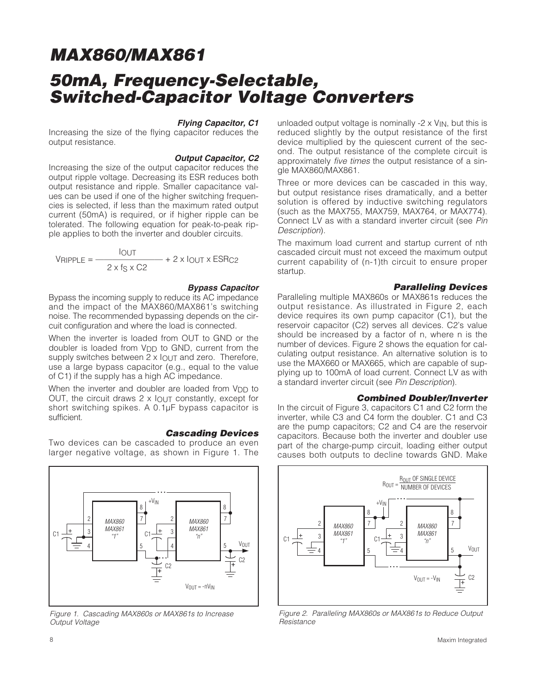## **MAX860/MAX861 50mA, Frequency-Selectable, Switched-Capacitor Voltage Converters**

#### **Flying Capacitor, C1**

Increasing the size of the flying capacitor reduces the output resistance.

#### **Output Capacitor, C2**

Increasing the size of the output capacitor reduces the output ripple voltage. Decreasing its ESR reduces both output resistance and ripple. Smaller capacitance values can be used if one of the higher switching frequencies is selected, if less than the maximum rated output current (50mA) is required, or if higher ripple can be tolerated. The following equation for peak-to-peak ripple applies to both the inverter and doubler circuits.

$$
V_{\text{RIPPLE}} = \frac{I_{\text{OUT}}}{2 \times f_{\text{S}} \times C2} + 2 \times I_{\text{OUT}} \times \text{ESR}_{\text{C2}}
$$

#### **Bypass Capacitor**

Bypass the incoming supply to reduce its AC impedance and the impact of the MAX860/MAX861's switching noise. The recommended bypassing depends on the circuit configuration and where the load is connected.

When the inverter is loaded from OUT to GND or the doubler is loaded from V<sub>DD</sub> to GND, current from the supply switches between 2 x  $I_{\text{OUT}}$  and zero. Therefore, use a large bypass capacitor (e.g., equal to the value of C1) if the supply has a high AC impedance.

When the inverter and doubler are loaded from  $V_{\text{DD}}$  to OUT, the circuit draws  $2 \times$  lout constantly, except for short switching spikes. A 0.1µF bypass capacitor is sufficient.

#### **Cascading Devices**

Two devices can be cascaded to produce an even larger negative voltage, as shown in Figure 1. The



Figure 1. Cascading MAX860s or MAX861s to Increase Output Voltage

unloaded output voltage is nominally  $-2 \times V_{\text{IN}}$ , but this is reduced slightly by the output resistance of the first device multiplied by the quiescent current of the second. The output resistance of the complete circuit is approximately five times the output resistance of a single MAX860/MAX861.

Three or more devices can be cascaded in this way, but output resistance rises dramatically, and a better solution is offered by inductive switching regulators (such as the MAX755, MAX759, MAX764, or MAX774). Connect LV as with a standard inverter circuit (see Pin Description).

The maximum load current and startup current of nth cascaded circuit must not exceed the maximum output current capability of (n-1)th circuit to ensure proper startup.

#### **Paralleling Devices**

Paralleling multiple MAX860s or MAX861s reduces the output resistance. As illustrated in Figure 2, each device requires its own pump capacitor (C1), but the reservoir capacitor (C2) serves all devices. C2's value should be increased by a factor of n, where n is the number of devices. Figure 2 shows the equation for calculating output resistance. An alternative solution is to use the MAX660 or MAX665, which are capable of supplying up to 100mA of load current. Connect LV as with a standard inverter circuit (see Pin Description).

#### **Combined Doubler/Inverter**

In the circuit of Figure 3, capacitors C1 and C2 form the inverter, while C3 and C4 form the doubler. C1 and C3 are the pump capacitors; C2 and C4 are the reservoir capacitors. Because both the inverter and doubler use part of the charge-pump circuit, loading either output causes both outputs to decline towards GND. Make



Figure 2. Paralleling MAX860s or MAX861s to Reduce Output Resistance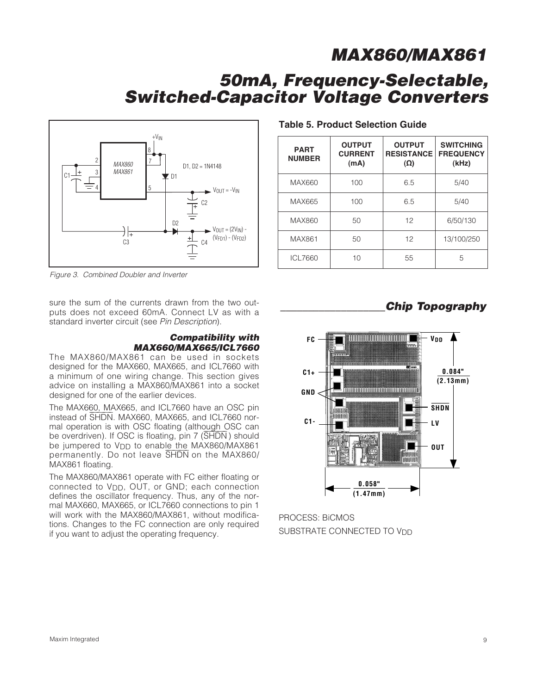## **50mA, Frequency-Selectable, Switched-Capacitor Voltage Converters**



Figure 3. Combined Doubler and Inverter

sure the sum of the currents drawn from the two outputs does not exceed 60mA. Connect LV as with a standard inverter circuit (see Pin Description).

#### **Compatibility with MAX660/MAX665/ICL7660**

The MAX860/MAX861 can be used in sockets designed for the MAX660, MAX665, and ICL7660 with a minimum of one wiring change. This section gives advice on installing a MAX860/MAX861 into a socket designed for one of the earlier devices.

The MAX660, MAX665, and ICL7660 have an OSC pin The MAX000, MAX000, and ICL7000 have all OSC pin<br>instead of SHDN. MAX660, MAX665, and ICL7660 normal operation is with OSC floating (although OSC can  $\frac{1}{2}$  be overdriven). If OSC is floating, pin 7  $\overline{\text{SHDN}}$  should be jumpered to V<sub>DD</sub> to enable the MAX860/MAX861 be jumpered to v<sub>DD</sub> to enable the MAX860/MAX861<br>permanently. Do not leave SHDN on the MAX860/ MAX861 floating.

The MAX860/MAX861 operate with FC either floating or connected to V<sub>DD</sub>, OUT, or GND; each connection defines the oscillator frequency. Thus, any of the normal MAX660, MAX665, or ICL7660 connections to pin 1 will work with the MAX860/MAX861, without modifications. Changes to the FC connection are only required if you want to adjust the operating frequency.

#### **Table 5. Product Selection Guide**

| <b>PART</b><br><b>NUMBER</b> | <b>OUTPUT</b><br><b>CURRENT</b><br>(mA) | <b>OUTPUT</b><br><b>RESISTANCE</b><br>$(\Omega)$ | <b>SWITCHING</b><br><b>FREQUENCY</b><br>(kHz) |
|------------------------------|-----------------------------------------|--------------------------------------------------|-----------------------------------------------|
| MAX660                       | 100                                     | 6.5                                              | 5/40                                          |
| MAX665                       | 100                                     | 6.5                                              | 5/40                                          |
| MAX860                       | 50                                      | 12                                               | 6/50/130                                      |
| MAX861                       | 50                                      | 12                                               | 13/100/250                                    |
| ICL7660                      | 10                                      | 55                                               | 5                                             |

### **\_\_\_\_\_\_\_\_\_\_\_\_\_\_\_\_\_\_\_Chip Topography**



PROCESS: BiCMOS SUBSTRATE CONNECTED TO V<sub>DD</sub>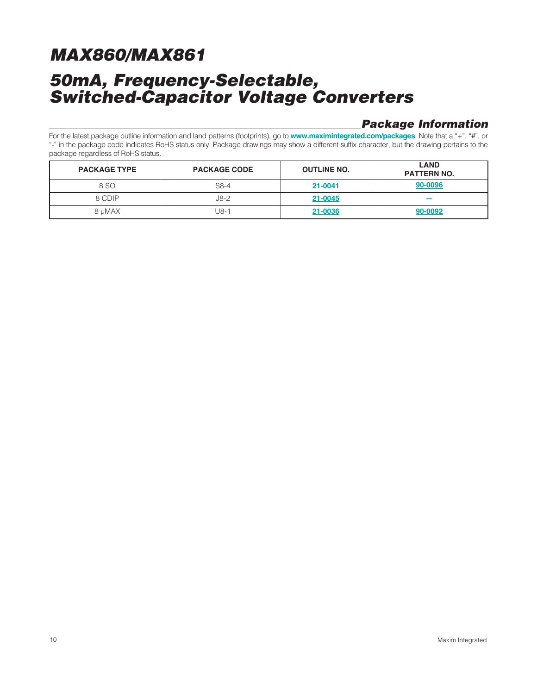## **MAX860/MAX861 50mA, Frequency-Selectable, Switched-Capacitor Voltage Converters**

### **Package Information**

For the latest package outline information and land patterns (footprints), go to **www.maximintegrated.com/packages**. Note that a "+", "#", or "-" in the package code indicates RoHS status only. Package drawings may show a different suffix character, but the drawing pertains to the package regardless of RoHS status.

| <b>PACKAGE TYPE</b> | <b>PACKAGE CODE</b> | <b>OUTLINE NO.</b> | <b>LAND</b><br><b>PATTERN NO.</b> |
|---------------------|---------------------|--------------------|-----------------------------------|
| 8 SO                | $S8-4$              | 21-0041            | 90-0096                           |
| 8 CDIP              | J8-2                | 21-0045            |                                   |
| 8 µMAX              | J8-1                | 21-0036            | 90-0092                           |